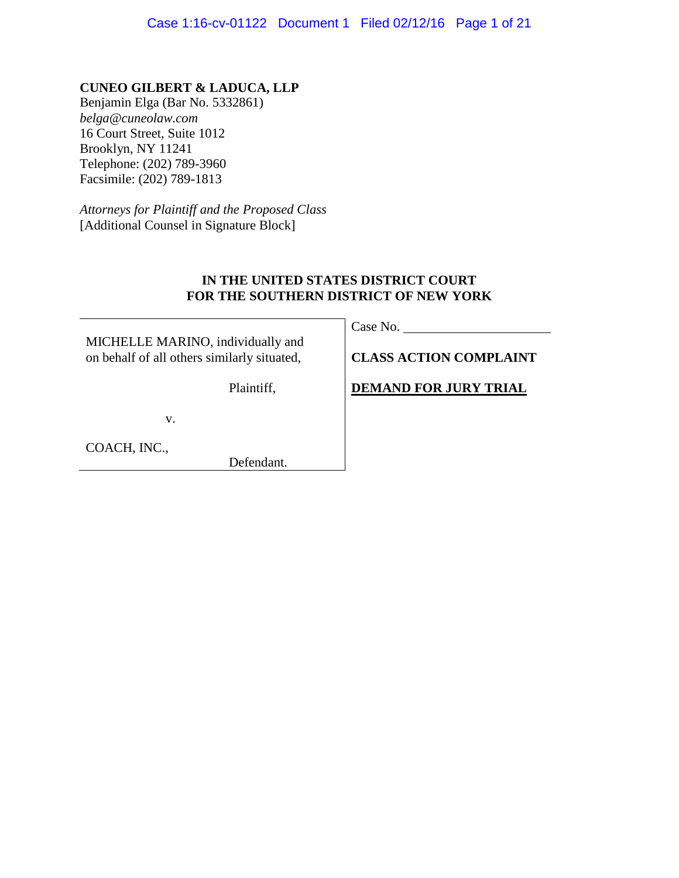**CUNEO GILBERT & LADUCA, LLP** Benjamin Elga (Bar No. 5332861) *belga@cuneolaw.com* 16 Court Street, Suite 1012 Brooklyn, NY 11241 Telephone: (202) 789-3960 Facsimile: (202) 789-1813

*Attorneys for Plaintiff and the Proposed Class* [Additional Counsel in Signature Block]

# **IN THE UNITED STATES DISTRICT COURT FOR THE SOUTHERN DISTRICT OF NEW YORK**

MICHELLE MARINO, individually and on behalf of all others similarly situated,

Plaintiff,

v.

COACH, INC.,

Defendant.

Case No.

**CLASS ACTION COMPLAINT**

**DEMAND FOR JURY TRIAL**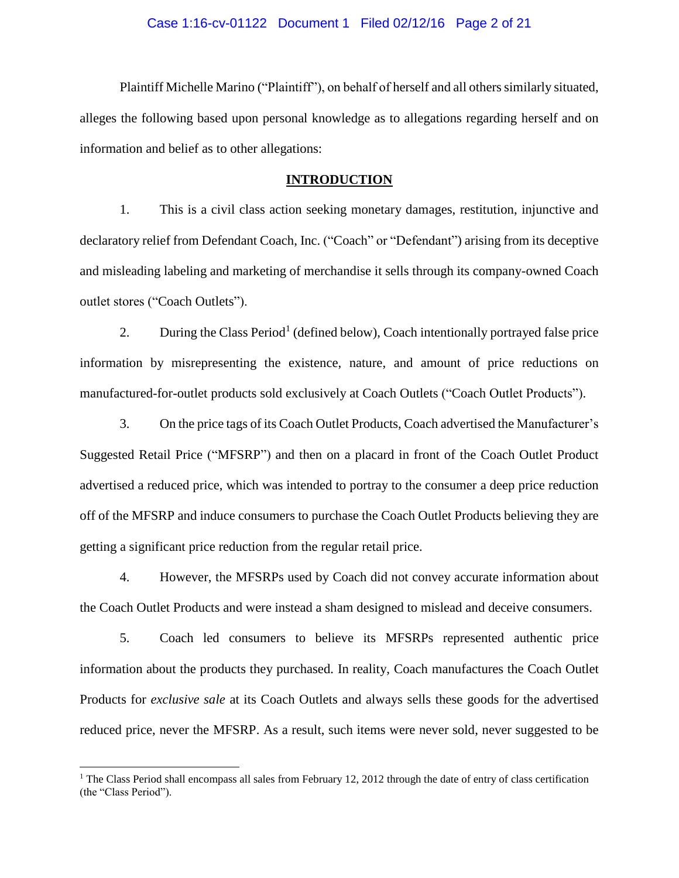### Case 1:16-cv-01122 Document 1 Filed 02/12/16 Page 2 of 21

Plaintiff Michelle Marino ("Plaintiff"), on behalf of herself and all others similarly situated, alleges the following based upon personal knowledge as to allegations regarding herself and on information and belief as to other allegations:

### **INTRODUCTION**

1. This is a civil class action seeking monetary damages, restitution, injunctive and declaratory relief from Defendant Coach, Inc. ("Coach" or "Defendant") arising from its deceptive and misleading labeling and marketing of merchandise it sells through its company-owned Coach outlet stores ("Coach Outlets").

2. During the Class Period<sup>1</sup> (defined below), Coach intentionally portrayed false price information by misrepresenting the existence, nature, and amount of price reductions on manufactured-for-outlet products sold exclusively at Coach Outlets ("Coach Outlet Products").

3. On the price tags of its Coach Outlet Products, Coach advertised the Manufacturer's Suggested Retail Price ("MFSRP") and then on a placard in front of the Coach Outlet Product advertised a reduced price, which was intended to portray to the consumer a deep price reduction off of the MFSRP and induce consumers to purchase the Coach Outlet Products believing they are getting a significant price reduction from the regular retail price.

4. However, the MFSRPs used by Coach did not convey accurate information about the Coach Outlet Products and were instead a sham designed to mislead and deceive consumers.

5. Coach led consumers to believe its MFSRPs represented authentic price information about the products they purchased. In reality, Coach manufactures the Coach Outlet Products for *exclusive sale* at its Coach Outlets and always sells these goods for the advertised reduced price, never the MFSRP. As a result, such items were never sold, never suggested to be

 $\overline{a}$ 

<sup>&</sup>lt;sup>1</sup> The Class Period shall encompass all sales from February 12, 2012 through the date of entry of class certification (the "Class Period").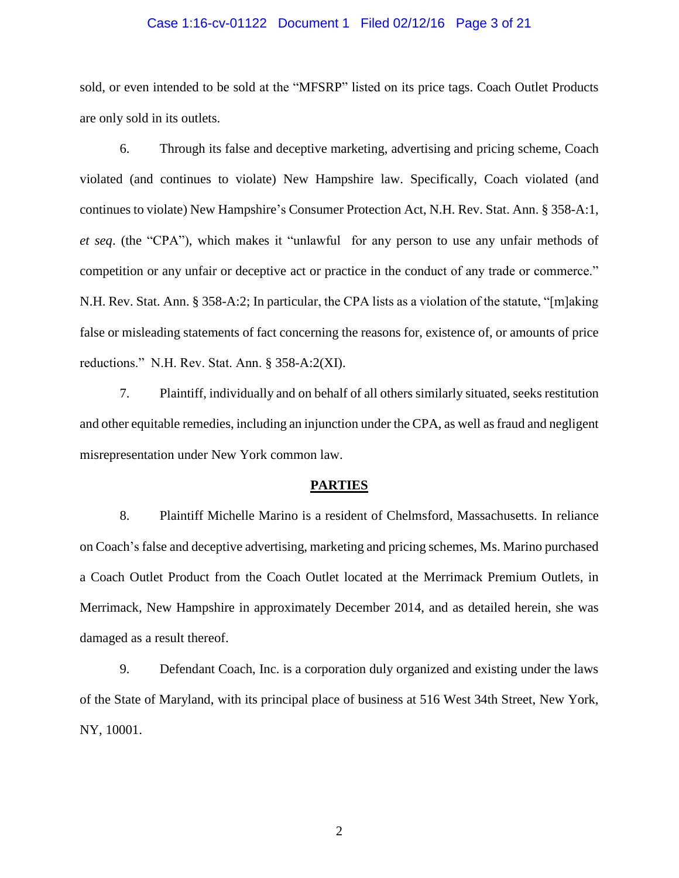### Case 1:16-cv-01122 Document 1 Filed 02/12/16 Page 3 of 21

sold, or even intended to be sold at the "MFSRP" listed on its price tags. Coach Outlet Products are only sold in its outlets.

6. Through its false and deceptive marketing, advertising and pricing scheme, Coach violated (and continues to violate) New Hampshire law. Specifically, Coach violated (and continues to violate) New Hampshire's Consumer Protection Act, N.H. Rev. Stat. Ann. § 358-A:1, *et seq*. (the "CPA"), which makes it "unlawful for any person to use any unfair methods of competition or any unfair or deceptive act or practice in the conduct of any trade or commerce." N.H. Rev. Stat. Ann. § 358-A:2; In particular, the CPA lists as a violation of the statute, "[m]aking false or misleading statements of fact concerning the reasons for, existence of, or amounts of price reductions." N.H. Rev. Stat. Ann. § 358-A:2(XI).

7. Plaintiff, individually and on behalf of all others similarly situated, seeks restitution and other equitable remedies, including an injunction under the CPA, as well as fraud and negligent misrepresentation under New York common law.

#### **PARTIES**

8. Plaintiff Michelle Marino is a resident of Chelmsford, Massachusetts. In reliance on Coach's false and deceptive advertising, marketing and pricing schemes, Ms. Marino purchased a Coach Outlet Product from the Coach Outlet located at the Merrimack Premium Outlets, in Merrimack, New Hampshire in approximately December 2014, and as detailed herein, she was damaged as a result thereof.

9. Defendant Coach, Inc. is a corporation duly organized and existing under the laws of the State of Maryland, with its principal place of business at 516 West 34th Street, New York, NY, 10001.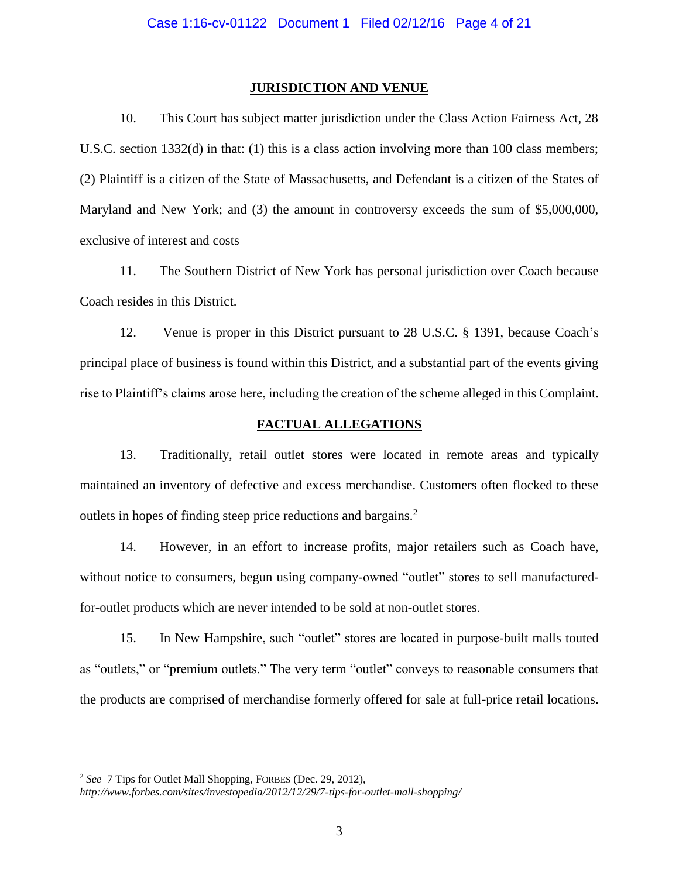### **JURISDICTION AND VENUE**

10. This Court has subject matter jurisdiction under the Class Action Fairness Act, 28 U.S.C. section 1332(d) in that: (1) this is a class action involving more than 100 class members; (2) Plaintiff is a citizen of the State of Massachusetts, and Defendant is a citizen of the States of Maryland and New York; and (3) the amount in controversy exceeds the sum of \$5,000,000, exclusive of interest and costs

11. The Southern District of New York has personal jurisdiction over Coach because Coach resides in this District.

12. Venue is proper in this District pursuant to 28 U.S.C. § 1391, because Coach's principal place of business is found within this District, and a substantial part of the events giving rise to Plaintiff's claims arose here, including the creation of the scheme alleged in this Complaint.

## **FACTUAL ALLEGATIONS**

13. Traditionally, retail outlet stores were located in remote areas and typically maintained an inventory of defective and excess merchandise. Customers often flocked to these outlets in hopes of finding steep price reductions and bargains.<sup>2</sup>

14. However, in an effort to increase profits, major retailers such as Coach have, without notice to consumers, begun using company-owned "outlet" stores to sell manufacturedfor-outlet products which are never intended to be sold at non-outlet stores.

15. In New Hampshire, such "outlet" stores are located in purpose-built malls touted as "outlets," or "premium outlets." The very term "outlet" conveys to reasonable consumers that the products are comprised of merchandise formerly offered for sale at full-price retail locations.

 $\overline{a}$ 

<sup>2</sup> *See* 7 Tips for Outlet Mall Shopping, FORBES (Dec. 29, 2012),

*http://www.forbes.com/sites/investopedia/2012/12/29/7-tips-for-outlet-mall-shopping/*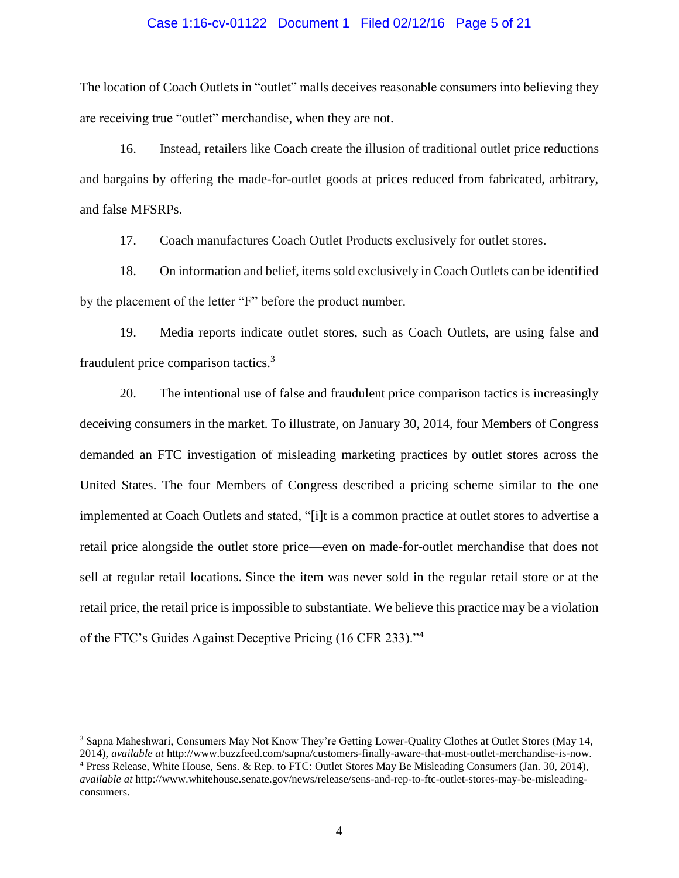### Case 1:16-cv-01122 Document 1 Filed 02/12/16 Page 5 of 21

The location of Coach Outlets in "outlet" malls deceives reasonable consumers into believing they are receiving true "outlet" merchandise, when they are not.

16. Instead, retailers like Coach create the illusion of traditional outlet price reductions and bargains by offering the made-for-outlet goods at prices reduced from fabricated, arbitrary, and false MFSRPs.

17. Coach manufactures Coach Outlet Products exclusively for outlet stores.

18. On information and belief, items sold exclusively in Coach Outlets can be identified by the placement of the letter "F" before the product number.

19. Media reports indicate outlet stores, such as Coach Outlets, are using false and fraudulent price comparison tactics.<sup>3</sup>

20. The intentional use of false and fraudulent price comparison tactics is increasingly deceiving consumers in the market. To illustrate, on January 30, 2014, four Members of Congress demanded an FTC investigation of misleading marketing practices by outlet stores across the United States. The four Members of Congress described a pricing scheme similar to the one implemented at Coach Outlets and stated, "[i]t is a common practice at outlet stores to advertise a retail price alongside the outlet store price—even on made-for-outlet merchandise that does not sell at regular retail locations. Since the item was never sold in the regular retail store or at the retail price, the retail price is impossible to substantiate. We believe this practice may be a violation of the FTC's Guides Against Deceptive Pricing (16 CFR 233)."<sup>4</sup>

 $\overline{a}$ 

<sup>3</sup> Sapna Maheshwari, Consumers May Not Know They're Getting Lower-Quality Clothes at Outlet Stores (May 14, 2014), *available at* http://www.buzzfeed.com/sapna/customers-finally-aware-that-most-outlet-merchandise-is-now. <sup>4</sup> Press Release, White House, Sens. & Rep. to FTC: Outlet Stores May Be Misleading Consumers (Jan. 30, 2014), *available at* http://www.whitehouse.senate.gov/news/release/sens-and-rep-to-ftc-outlet-stores-may-be-misleadingconsumers.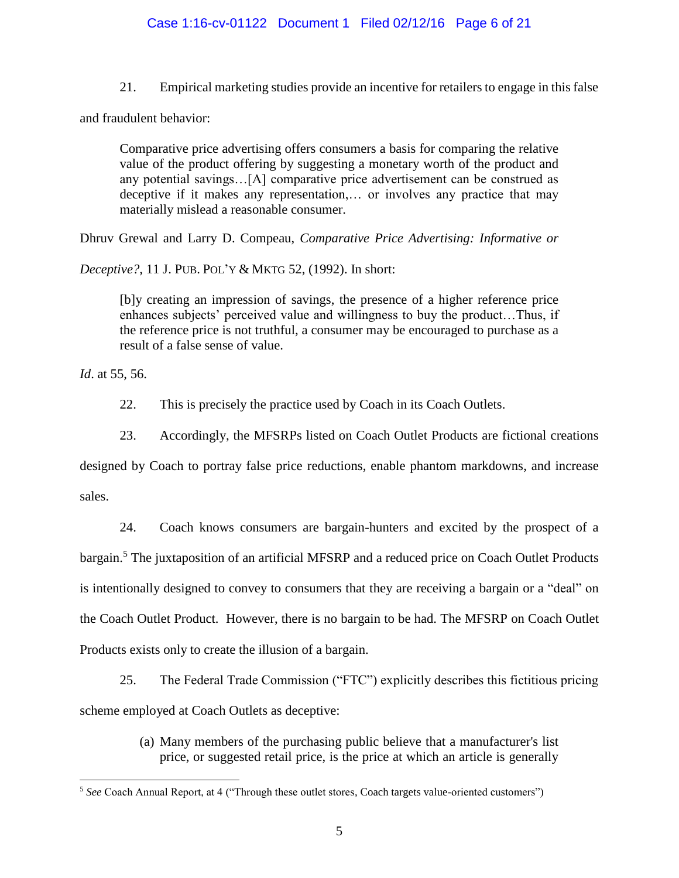## Case 1:16-cv-01122 Document 1 Filed 02/12/16 Page 6 of 21

21. Empirical marketing studies provide an incentive for retailers to engage in this false

and fraudulent behavior:

Comparative price advertising offers consumers a basis for comparing the relative value of the product offering by suggesting a monetary worth of the product and any potential savings…[A] comparative price advertisement can be construed as deceptive if it makes any representation,… or involves any practice that may materially mislead a reasonable consumer.

Dhruv Grewal and Larry D. Compeau, *Comparative Price Advertising: Informative or* 

*Deceptive?,* 11 J. PUB. POL'Y & MKTG 52, (1992). In short:

[b]y creating an impression of savings, the presence of a higher reference price enhances subjects' perceived value and willingness to buy the product…Thus, if the reference price is not truthful, a consumer may be encouraged to purchase as a result of a false sense of value.

*Id*. at 55, 56.

 $\overline{a}$ 

22. This is precisely the practice used by Coach in its Coach Outlets.

23. Accordingly, the MFSRPs listed on Coach Outlet Products are fictional creations

designed by Coach to portray false price reductions, enable phantom markdowns, and increase sales.

24. Coach knows consumers are bargain-hunters and excited by the prospect of a bargain.<sup>5</sup> The juxtaposition of an artificial MFSRP and a reduced price on Coach Outlet Products is intentionally designed to convey to consumers that they are receiving a bargain or a "deal" on the Coach Outlet Product. However, there is no bargain to be had. The MFSRP on Coach Outlet Products exists only to create the illusion of a bargain.

25. The Federal Trade Commission ("FTC") explicitly describes this fictitious pricing scheme employed at Coach Outlets as deceptive:

> (a) Many members of the purchasing public believe that a manufacturer's list price, or suggested retail price, is the price at which an article is generally

<sup>5</sup> *See* Coach Annual Report, at 4 ("Through these outlet stores, Coach targets value-oriented customers")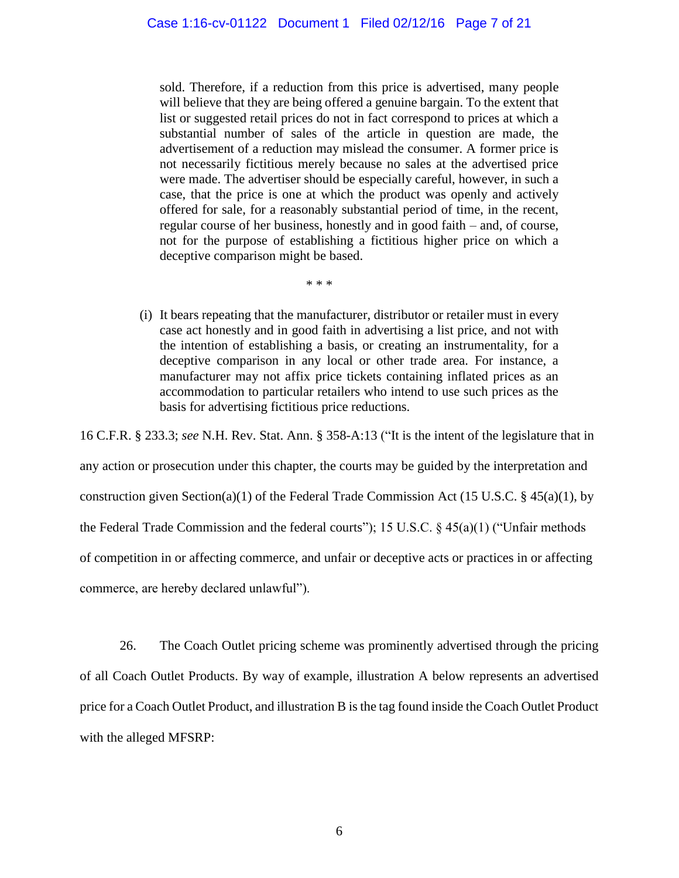sold. Therefore, if a reduction from this price is advertised, many people will believe that they are being offered a genuine bargain. To the extent that list or suggested retail prices do not in fact correspond to prices at which a substantial number of sales of the article in question are made, the advertisement of a reduction may mislead the consumer. A former price is not necessarily fictitious merely because no sales at the advertised price were made. The advertiser should be especially careful, however, in such a case, that the price is one at which the product was openly and actively offered for sale, for a reasonably substantial period of time, in the recent, regular course of her business, honestly and in good faith – and, of course, not for the purpose of establishing a fictitious higher price on which a deceptive comparison might be based.

\* \* \*

(i) It bears repeating that the manufacturer, distributor or retailer must in every case act honestly and in good faith in advertising a list price, and not with the intention of establishing a basis, or creating an instrumentality, for a deceptive comparison in any local or other trade area. For instance, a manufacturer may not affix price tickets containing inflated prices as an accommodation to particular retailers who intend to use such prices as the basis for advertising fictitious price reductions.

16 C.F.R. § 233.3; *see* N.H. Rev. Stat. Ann. § 358-A:13 ("It is the intent of the legislature that in any action or prosecution under this chapter, the courts may be guided by the interpretation and construction given Section(a)(1) of the Federal Trade Commission Act (15 U.S.C. § 45(a)(1), by the Federal Trade Commission and the federal courts"); 15 U.S.C. § 45(a)(1) ("Unfair methods of competition in or affecting commerce, and unfair or deceptive acts or practices in or affecting commerce, are hereby declared unlawful").

26. The Coach Outlet pricing scheme was prominently advertised through the pricing of all Coach Outlet Products. By way of example, illustration A below represents an advertised price for a Coach Outlet Product, and illustration B is the tag found inside the Coach Outlet Product with the alleged MFSRP: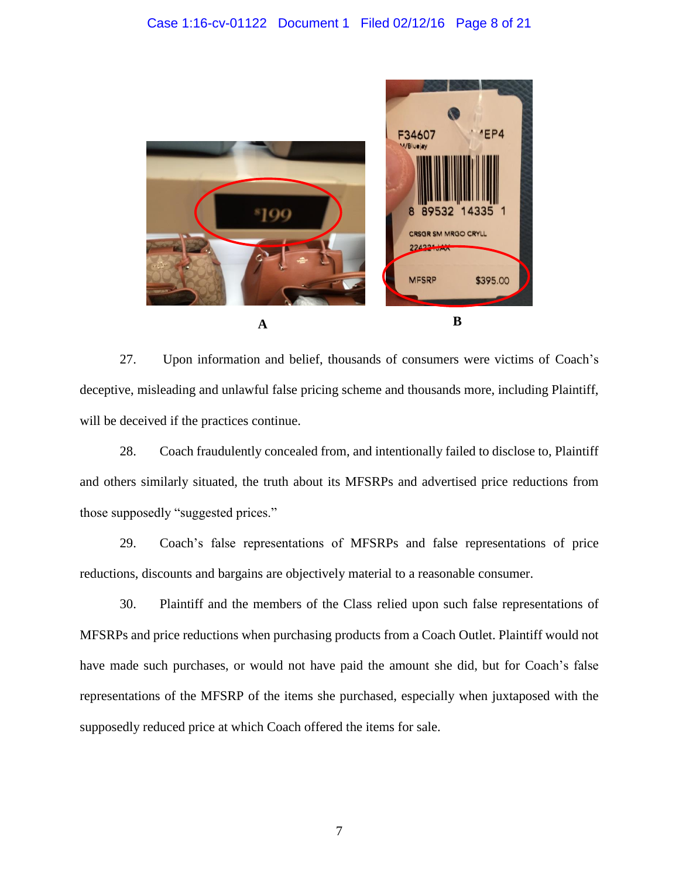

27. Upon information and belief, thousands of consumers were victims of Coach's deceptive, misleading and unlawful false pricing scheme and thousands more, including Plaintiff, will be deceived if the practices continue.

28. Coach fraudulently concealed from, and intentionally failed to disclose to, Plaintiff and others similarly situated, the truth about its MFSRPs and advertised price reductions from those supposedly "suggested prices."

29. Coach's false representations of MFSRPs and false representations of price reductions, discounts and bargains are objectively material to a reasonable consumer.

30. Plaintiff and the members of the Class relied upon such false representations of MFSRPs and price reductions when purchasing products from a Coach Outlet. Plaintiff would not have made such purchases, or would not have paid the amount she did, but for Coach's false representations of the MFSRP of the items she purchased, especially when juxtaposed with the supposedly reduced price at which Coach offered the items for sale.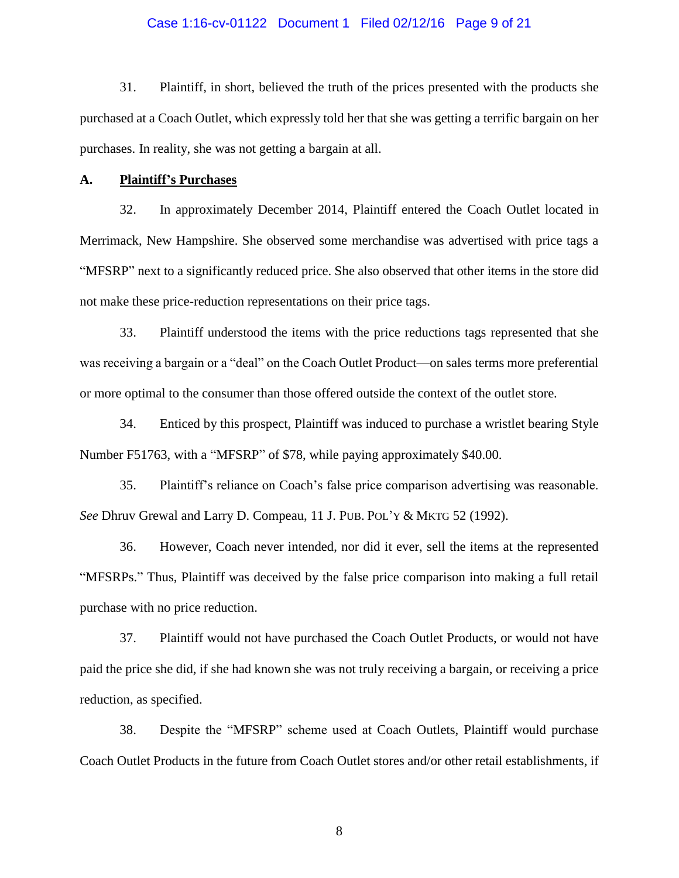### Case 1:16-cv-01122 Document 1 Filed 02/12/16 Page 9 of 21

31. Plaintiff, in short, believed the truth of the prices presented with the products she purchased at a Coach Outlet, which expressly told her that she was getting a terrific bargain on her purchases. In reality, she was not getting a bargain at all.

#### **A. Plaintiff's Purchases**

32. In approximately December 2014, Plaintiff entered the Coach Outlet located in Merrimack, New Hampshire. She observed some merchandise was advertised with price tags a "MFSRP" next to a significantly reduced price. She also observed that other items in the store did not make these price-reduction representations on their price tags.

33. Plaintiff understood the items with the price reductions tags represented that she was receiving a bargain or a "deal" on the Coach Outlet Product—on sales terms more preferential or more optimal to the consumer than those offered outside the context of the outlet store.

34. Enticed by this prospect, Plaintiff was induced to purchase a wristlet bearing Style Number F51763, with a "MFSRP" of \$78, while paying approximately \$40.00.

35. Plaintiff's reliance on Coach's false price comparison advertising was reasonable. *See* Dhruv Grewal and Larry D. Compeau, 11 J. PUB. POL'Y & MKTG 52 (1992).

36. However, Coach never intended, nor did it ever, sell the items at the represented "MFSRPs." Thus, Plaintiff was deceived by the false price comparison into making a full retail purchase with no price reduction.

37. Plaintiff would not have purchased the Coach Outlet Products, or would not have paid the price she did, if she had known she was not truly receiving a bargain, or receiving a price reduction, as specified.

38. Despite the "MFSRP" scheme used at Coach Outlets, Plaintiff would purchase Coach Outlet Products in the future from Coach Outlet stores and/or other retail establishments, if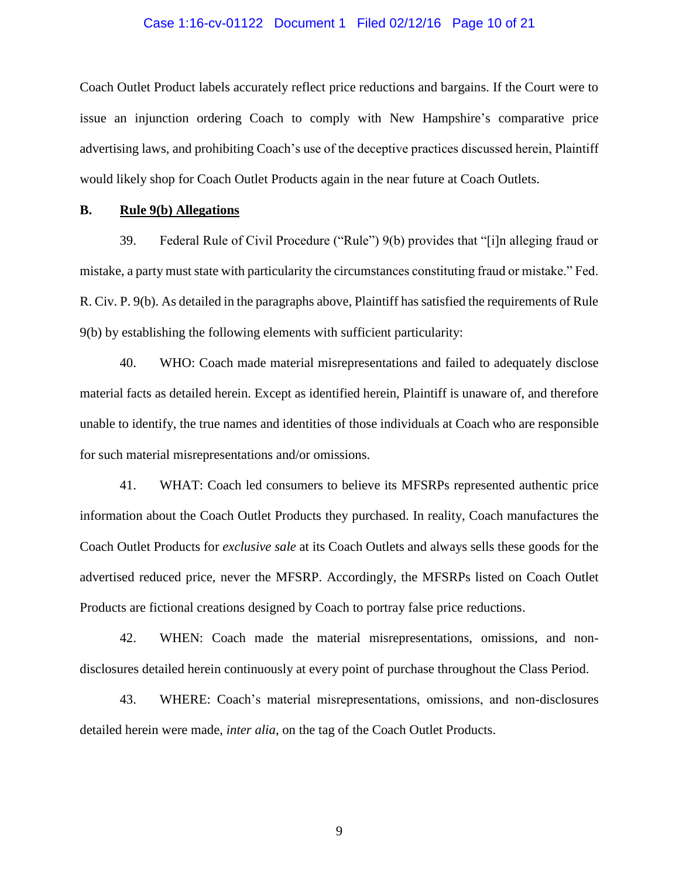### Case 1:16-cv-01122 Document 1 Filed 02/12/16 Page 10 of 21

Coach Outlet Product labels accurately reflect price reductions and bargains. If the Court were to issue an injunction ordering Coach to comply with New Hampshire's comparative price advertising laws, and prohibiting Coach's use of the deceptive practices discussed herein, Plaintiff would likely shop for Coach Outlet Products again in the near future at Coach Outlets.

### **B. Rule 9(b) Allegations**

39. Federal Rule of Civil Procedure ("Rule") 9(b) provides that "[i]n alleging fraud or mistake, a party must state with particularity the circumstances constituting fraud or mistake." Fed. R. Civ. P. 9(b). As detailed in the paragraphs above, Plaintiff has satisfied the requirements of Rule 9(b) by establishing the following elements with sufficient particularity:

40. WHO: Coach made material misrepresentations and failed to adequately disclose material facts as detailed herein. Except as identified herein, Plaintiff is unaware of, and therefore unable to identify, the true names and identities of those individuals at Coach who are responsible for such material misrepresentations and/or omissions.

41. WHAT: Coach led consumers to believe its MFSRPs represented authentic price information about the Coach Outlet Products they purchased. In reality, Coach manufactures the Coach Outlet Products for *exclusive sale* at its Coach Outlets and always sells these goods for the advertised reduced price, never the MFSRP. Accordingly, the MFSRPs listed on Coach Outlet Products are fictional creations designed by Coach to portray false price reductions.

42. WHEN: Coach made the material misrepresentations, omissions, and nondisclosures detailed herein continuously at every point of purchase throughout the Class Period.

43. WHERE: Coach's material misrepresentations, omissions, and non-disclosures detailed herein were made, *inter alia*, on the tag of the Coach Outlet Products.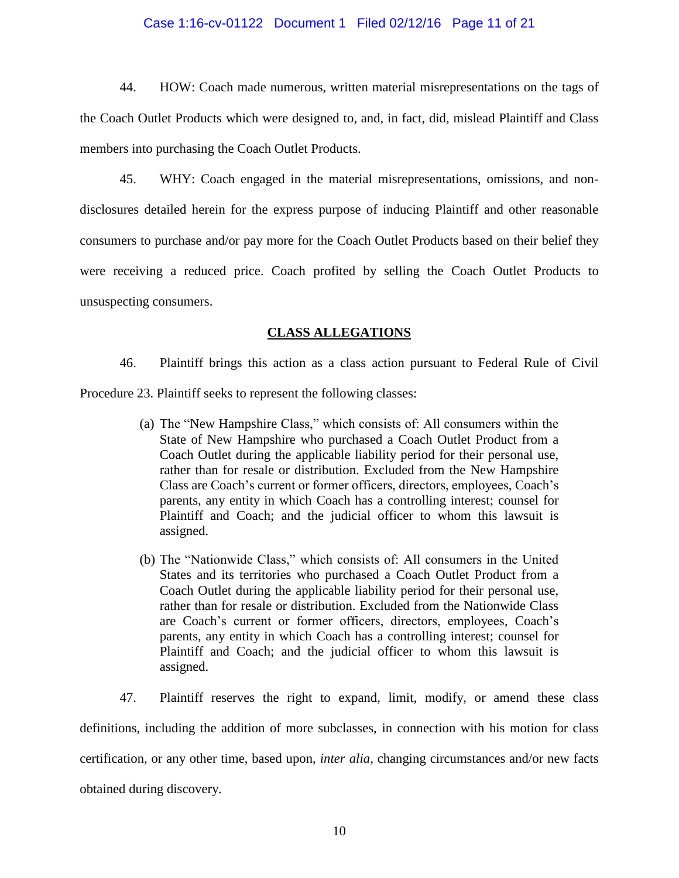### Case 1:16-cv-01122 Document 1 Filed 02/12/16 Page 11 of 21

44. HOW: Coach made numerous, written material misrepresentations on the tags of the Coach Outlet Products which were designed to, and, in fact, did, mislead Plaintiff and Class members into purchasing the Coach Outlet Products.

45. WHY: Coach engaged in the material misrepresentations, omissions, and nondisclosures detailed herein for the express purpose of inducing Plaintiff and other reasonable consumers to purchase and/or pay more for the Coach Outlet Products based on their belief they were receiving a reduced price. Coach profited by selling the Coach Outlet Products to unsuspecting consumers.

## **CLASS ALLEGATIONS**

46. Plaintiff brings this action as a class action pursuant to Federal Rule of Civil Procedure 23. Plaintiff seeks to represent the following classes:

- (a) The "New Hampshire Class," which consists of: All consumers within the State of New Hampshire who purchased a Coach Outlet Product from a Coach Outlet during the applicable liability period for their personal use, rather than for resale or distribution. Excluded from the New Hampshire Class are Coach's current or former officers, directors, employees, Coach's parents, any entity in which Coach has a controlling interest; counsel for Plaintiff and Coach; and the judicial officer to whom this lawsuit is assigned.
- (b) The "Nationwide Class," which consists of: All consumers in the United States and its territories who purchased a Coach Outlet Product from a Coach Outlet during the applicable liability period for their personal use, rather than for resale or distribution. Excluded from the Nationwide Class are Coach's current or former officers, directors, employees, Coach's parents, any entity in which Coach has a controlling interest; counsel for Plaintiff and Coach; and the judicial officer to whom this lawsuit is assigned.

47. Plaintiff reserves the right to expand, limit, modify, or amend these class definitions, including the addition of more subclasses, in connection with his motion for class certification, or any other time, based upon, *inter alia*, changing circumstances and/or new facts obtained during discovery.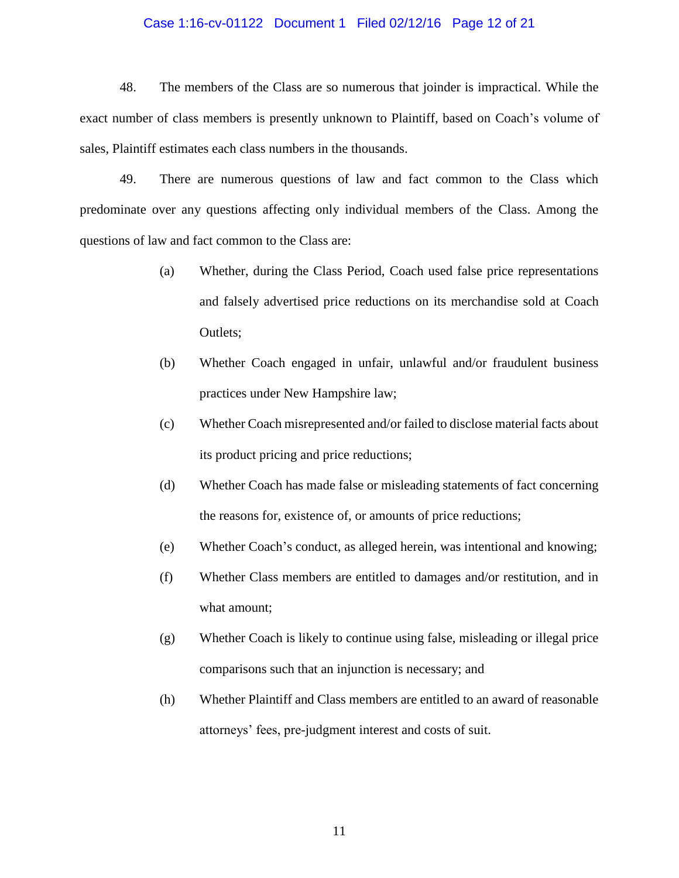#### Case 1:16-cv-01122 Document 1 Filed 02/12/16 Page 12 of 21

48. The members of the Class are so numerous that joinder is impractical. While the exact number of class members is presently unknown to Plaintiff, based on Coach's volume of sales, Plaintiff estimates each class numbers in the thousands.

49. There are numerous questions of law and fact common to the Class which predominate over any questions affecting only individual members of the Class. Among the questions of law and fact common to the Class are:

- (a) Whether, during the Class Period, Coach used false price representations and falsely advertised price reductions on its merchandise sold at Coach Outlets;
- (b) Whether Coach engaged in unfair, unlawful and/or fraudulent business practices under New Hampshire law;
- (c) Whether Coach misrepresented and/or failed to disclose material facts about its product pricing and price reductions;
- (d) Whether Coach has made false or misleading statements of fact concerning the reasons for, existence of, or amounts of price reductions;
- (e) Whether Coach's conduct, as alleged herein, was intentional and knowing;
- (f) Whether Class members are entitled to damages and/or restitution, and in what amount;
- (g) Whether Coach is likely to continue using false, misleading or illegal price comparisons such that an injunction is necessary; and
- (h) Whether Plaintiff and Class members are entitled to an award of reasonable attorneys' fees, pre-judgment interest and costs of suit.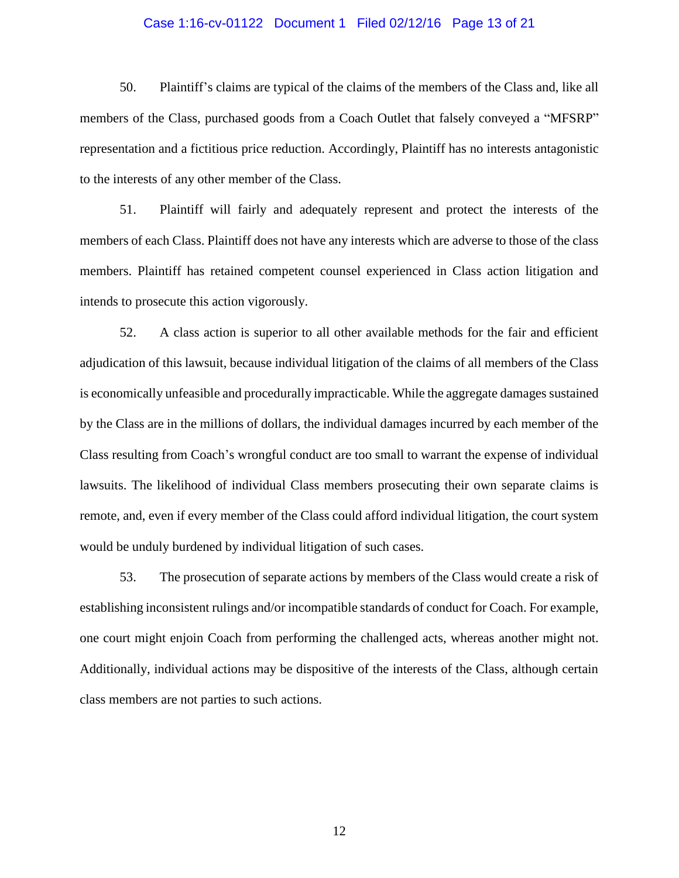### Case 1:16-cv-01122 Document 1 Filed 02/12/16 Page 13 of 21

50. Plaintiff's claims are typical of the claims of the members of the Class and, like all members of the Class, purchased goods from a Coach Outlet that falsely conveyed a "MFSRP" representation and a fictitious price reduction. Accordingly, Plaintiff has no interests antagonistic to the interests of any other member of the Class.

51. Plaintiff will fairly and adequately represent and protect the interests of the members of each Class. Plaintiff does not have any interests which are adverse to those of the class members. Plaintiff has retained competent counsel experienced in Class action litigation and intends to prosecute this action vigorously.

52. A class action is superior to all other available methods for the fair and efficient adjudication of this lawsuit, because individual litigation of the claims of all members of the Class is economically unfeasible and procedurally impracticable. While the aggregate damages sustained by the Class are in the millions of dollars, the individual damages incurred by each member of the Class resulting from Coach's wrongful conduct are too small to warrant the expense of individual lawsuits. The likelihood of individual Class members prosecuting their own separate claims is remote, and, even if every member of the Class could afford individual litigation, the court system would be unduly burdened by individual litigation of such cases.

53. The prosecution of separate actions by members of the Class would create a risk of establishing inconsistent rulings and/or incompatible standards of conduct for Coach. For example, one court might enjoin Coach from performing the challenged acts, whereas another might not. Additionally, individual actions may be dispositive of the interests of the Class, although certain class members are not parties to such actions.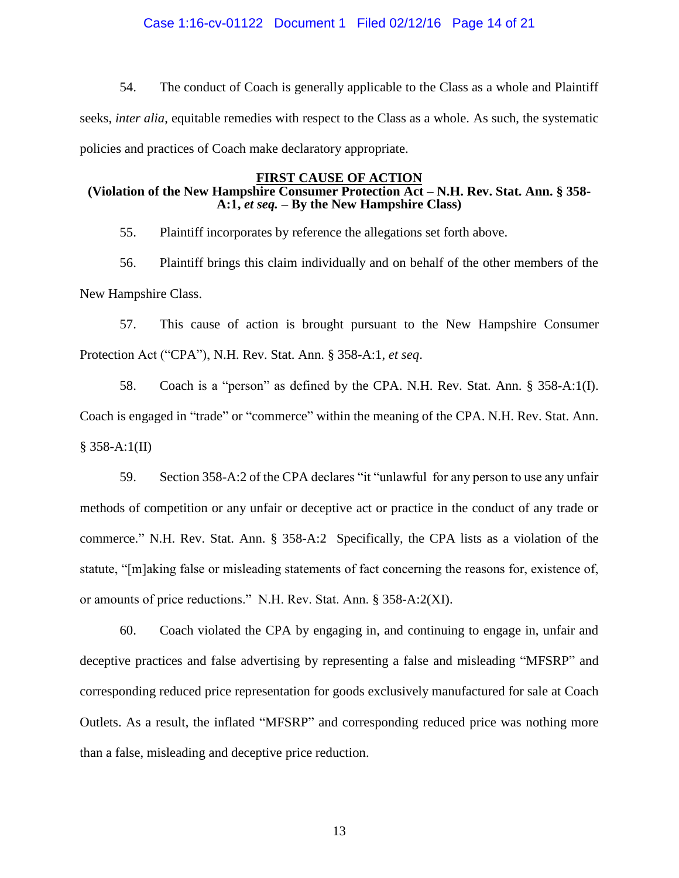### Case 1:16-cv-01122 Document 1 Filed 02/12/16 Page 14 of 21

54. The conduct of Coach is generally applicable to the Class as a whole and Plaintiff seeks, *inter alia*, equitable remedies with respect to the Class as a whole. As such, the systematic policies and practices of Coach make declaratory appropriate.

### **FIRST CAUSE OF ACTION**

## **(Violation of the New Hampshire Consumer Protection Act – N.H. Rev. Stat. Ann. § 358- A:1,** *et seq.* **– By the New Hampshire Class)**

55. Plaintiff incorporates by reference the allegations set forth above.

56. Plaintiff brings this claim individually and on behalf of the other members of the New Hampshire Class.

57. This cause of action is brought pursuant to the New Hampshire Consumer Protection Act ("CPA"), N.H. Rev. Stat. Ann. § 358-A:1, *et seq*.

58. Coach is a "person" as defined by the CPA. N.H. Rev. Stat. Ann. § 358-A:1(I). Coach is engaged in "trade" or "commerce" within the meaning of the CPA. N.H. Rev. Stat. Ann. § 358-A:1(II)

59. Section 358-A:2 of the CPA declares "it "unlawful for any person to use any unfair methods of competition or any unfair or deceptive act or practice in the conduct of any trade or commerce." N.H. Rev. Stat. Ann. § 358-A:2 Specifically, the CPA lists as a violation of the statute, "[m]aking false or misleading statements of fact concerning the reasons for, existence of, or amounts of price reductions." N.H. Rev. Stat. Ann. § 358-A:2(XI).

60. Coach violated the CPA by engaging in, and continuing to engage in, unfair and deceptive practices and false advertising by representing a false and misleading "MFSRP" and corresponding reduced price representation for goods exclusively manufactured for sale at Coach Outlets. As a result, the inflated "MFSRP" and corresponding reduced price was nothing more than a false, misleading and deceptive price reduction.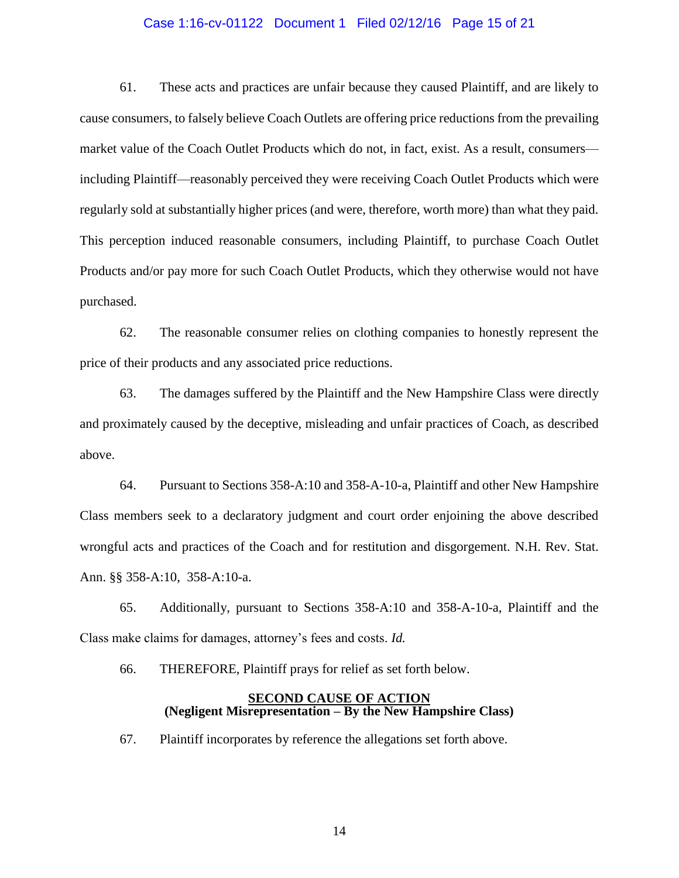#### Case 1:16-cv-01122 Document 1 Filed 02/12/16 Page 15 of 21

61. These acts and practices are unfair because they caused Plaintiff, and are likely to cause consumers, to falsely believe Coach Outlets are offering price reductions from the prevailing market value of the Coach Outlet Products which do not, in fact, exist. As a result, consumers including Plaintiff—reasonably perceived they were receiving Coach Outlet Products which were regularly sold at substantially higher prices (and were, therefore, worth more) than what they paid. This perception induced reasonable consumers, including Plaintiff, to purchase Coach Outlet Products and/or pay more for such Coach Outlet Products, which they otherwise would not have purchased.

62. The reasonable consumer relies on clothing companies to honestly represent the price of their products and any associated price reductions.

63. The damages suffered by the Plaintiff and the New Hampshire Class were directly and proximately caused by the deceptive, misleading and unfair practices of Coach, as described above.

64. Pursuant to Sections 358-A:10 and 358-A-10-a, Plaintiff and other New Hampshire Class members seek to a declaratory judgment and court order enjoining the above described wrongful acts and practices of the Coach and for restitution and disgorgement. N.H. Rev. Stat. Ann. §§ 358-A:10, 358-A:10-a.

65. Additionally, pursuant to Sections 358-A:10 and 358-A-10-a, Plaintiff and the Class make claims for damages, attorney's fees and costs. *Id.*

66. THEREFORE, Plaintiff prays for relief as set forth below.

### **SECOND CAUSE OF ACTION (Negligent Misrepresentation – By the New Hampshire Class)**

67. Plaintiff incorporates by reference the allegations set forth above.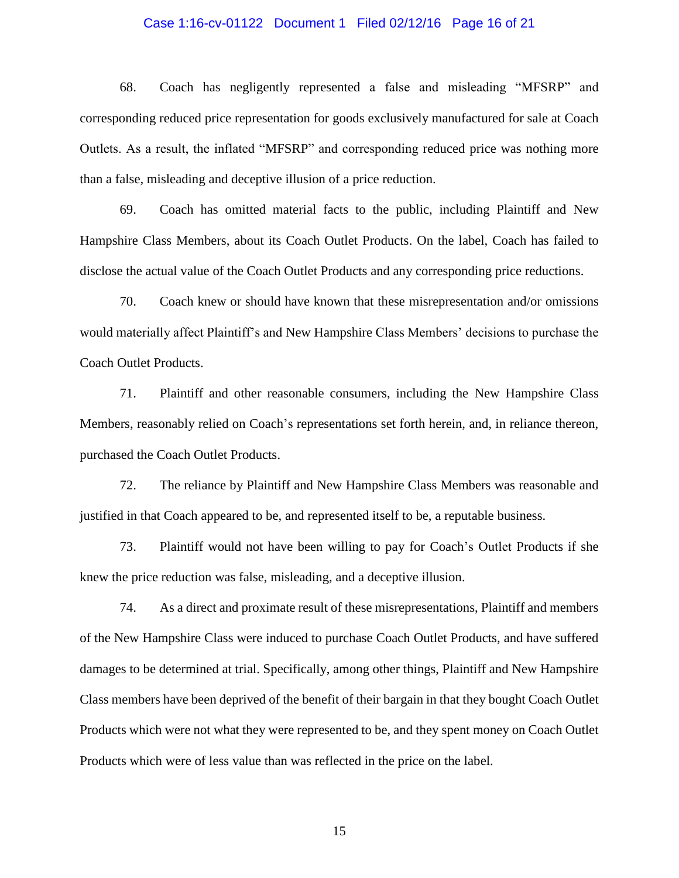### Case 1:16-cv-01122 Document 1 Filed 02/12/16 Page 16 of 21

68. Coach has negligently represented a false and misleading "MFSRP" and corresponding reduced price representation for goods exclusively manufactured for sale at Coach Outlets. As a result, the inflated "MFSRP" and corresponding reduced price was nothing more than a false, misleading and deceptive illusion of a price reduction.

69. Coach has omitted material facts to the public, including Plaintiff and New Hampshire Class Members, about its Coach Outlet Products. On the label, Coach has failed to disclose the actual value of the Coach Outlet Products and any corresponding price reductions.

70. Coach knew or should have known that these misrepresentation and/or omissions would materially affect Plaintiff's and New Hampshire Class Members' decisions to purchase the Coach Outlet Products.

71. Plaintiff and other reasonable consumers, including the New Hampshire Class Members, reasonably relied on Coach's representations set forth herein, and, in reliance thereon, purchased the Coach Outlet Products.

72. The reliance by Plaintiff and New Hampshire Class Members was reasonable and justified in that Coach appeared to be, and represented itself to be, a reputable business.

73. Plaintiff would not have been willing to pay for Coach's Outlet Products if she knew the price reduction was false, misleading, and a deceptive illusion.

74. As a direct and proximate result of these misrepresentations, Plaintiff and members of the New Hampshire Class were induced to purchase Coach Outlet Products, and have suffered damages to be determined at trial. Specifically, among other things, Plaintiff and New Hampshire Class members have been deprived of the benefit of their bargain in that they bought Coach Outlet Products which were not what they were represented to be, and they spent money on Coach Outlet Products which were of less value than was reflected in the price on the label.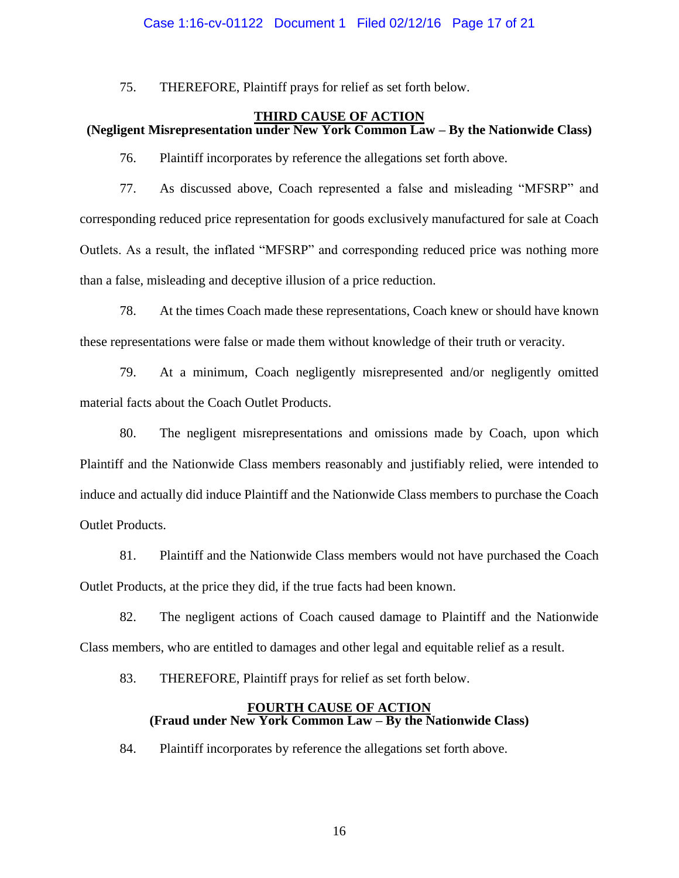## Case 1:16-cv-01122 Document 1 Filed 02/12/16 Page 17 of 21

75. THEREFORE, Plaintiff prays for relief as set forth below.

# **THIRD CAUSE OF ACTION (Negligent Misrepresentation under New York Common Law – By the Nationwide Class)**

76. Plaintiff incorporates by reference the allegations set forth above.

77. As discussed above, Coach represented a false and misleading "MFSRP" and corresponding reduced price representation for goods exclusively manufactured for sale at Coach Outlets. As a result, the inflated "MFSRP" and corresponding reduced price was nothing more than a false, misleading and deceptive illusion of a price reduction.

78. At the times Coach made these representations, Coach knew or should have known these representations were false or made them without knowledge of their truth or veracity.

79. At a minimum, Coach negligently misrepresented and/or negligently omitted material facts about the Coach Outlet Products.

80. The negligent misrepresentations and omissions made by Coach, upon which Plaintiff and the Nationwide Class members reasonably and justifiably relied, were intended to induce and actually did induce Plaintiff and the Nationwide Class members to purchase the Coach Outlet Products.

81. Plaintiff and the Nationwide Class members would not have purchased the Coach Outlet Products, at the price they did, if the true facts had been known.

82. The negligent actions of Coach caused damage to Plaintiff and the Nationwide Class members, who are entitled to damages and other legal and equitable relief as a result.

83. THEREFORE, Plaintiff prays for relief as set forth below.

### **FOURTH CAUSE OF ACTION (Fraud under New York Common Law – By the Nationwide Class)**

84. Plaintiff incorporates by reference the allegations set forth above.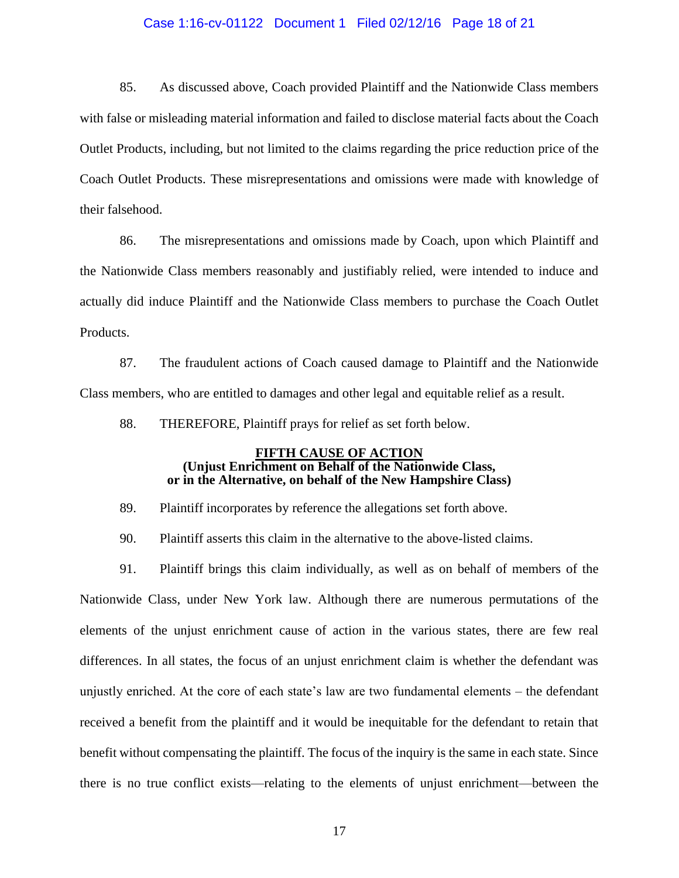### Case 1:16-cv-01122 Document 1 Filed 02/12/16 Page 18 of 21

85. As discussed above, Coach provided Plaintiff and the Nationwide Class members with false or misleading material information and failed to disclose material facts about the Coach Outlet Products, including, but not limited to the claims regarding the price reduction price of the Coach Outlet Products. These misrepresentations and omissions were made with knowledge of their falsehood.

86. The misrepresentations and omissions made by Coach, upon which Plaintiff and the Nationwide Class members reasonably and justifiably relied, were intended to induce and actually did induce Plaintiff and the Nationwide Class members to purchase the Coach Outlet Products.

87. The fraudulent actions of Coach caused damage to Plaintiff and the Nationwide Class members, who are entitled to damages and other legal and equitable relief as a result.

88. THEREFORE, Plaintiff prays for relief as set forth below.

#### **FIFTH CAUSE OF ACTION (Unjust Enrichment on Behalf of the Nationwide Class, or in the Alternative, on behalf of the New Hampshire Class)**

89. Plaintiff incorporates by reference the allegations set forth above.

90. Plaintiff asserts this claim in the alternative to the above-listed claims.

91. Plaintiff brings this claim individually, as well as on behalf of members of the Nationwide Class, under New York law. Although there are numerous permutations of the elements of the unjust enrichment cause of action in the various states, there are few real differences. In all states, the focus of an unjust enrichment claim is whether the defendant was unjustly enriched. At the core of each state's law are two fundamental elements – the defendant received a benefit from the plaintiff and it would be inequitable for the defendant to retain that benefit without compensating the plaintiff. The focus of the inquiry is the same in each state. Since there is no true conflict exists—relating to the elements of unjust enrichment—between the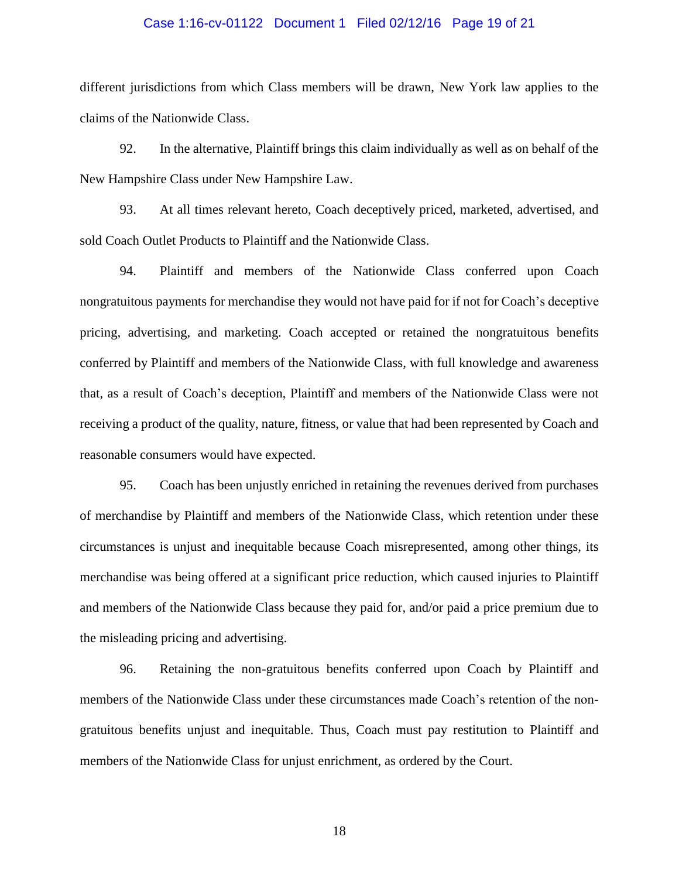### Case 1:16-cv-01122 Document 1 Filed 02/12/16 Page 19 of 21

different jurisdictions from which Class members will be drawn, New York law applies to the claims of the Nationwide Class.

92. In the alternative, Plaintiff brings this claim individually as well as on behalf of the New Hampshire Class under New Hampshire Law.

93. At all times relevant hereto, Coach deceptively priced, marketed, advertised, and sold Coach Outlet Products to Plaintiff and the Nationwide Class.

94. Plaintiff and members of the Nationwide Class conferred upon Coach nongratuitous payments for merchandise they would not have paid for if not for Coach's deceptive pricing, advertising, and marketing. Coach accepted or retained the nongratuitous benefits conferred by Plaintiff and members of the Nationwide Class, with full knowledge and awareness that, as a result of Coach's deception, Plaintiff and members of the Nationwide Class were not receiving a product of the quality, nature, fitness, or value that had been represented by Coach and reasonable consumers would have expected.

95. Coach has been unjustly enriched in retaining the revenues derived from purchases of merchandise by Plaintiff and members of the Nationwide Class, which retention under these circumstances is unjust and inequitable because Coach misrepresented, among other things, its merchandise was being offered at a significant price reduction, which caused injuries to Plaintiff and members of the Nationwide Class because they paid for, and/or paid a price premium due to the misleading pricing and advertising.

96. Retaining the non-gratuitous benefits conferred upon Coach by Plaintiff and members of the Nationwide Class under these circumstances made Coach's retention of the nongratuitous benefits unjust and inequitable. Thus, Coach must pay restitution to Plaintiff and members of the Nationwide Class for unjust enrichment, as ordered by the Court.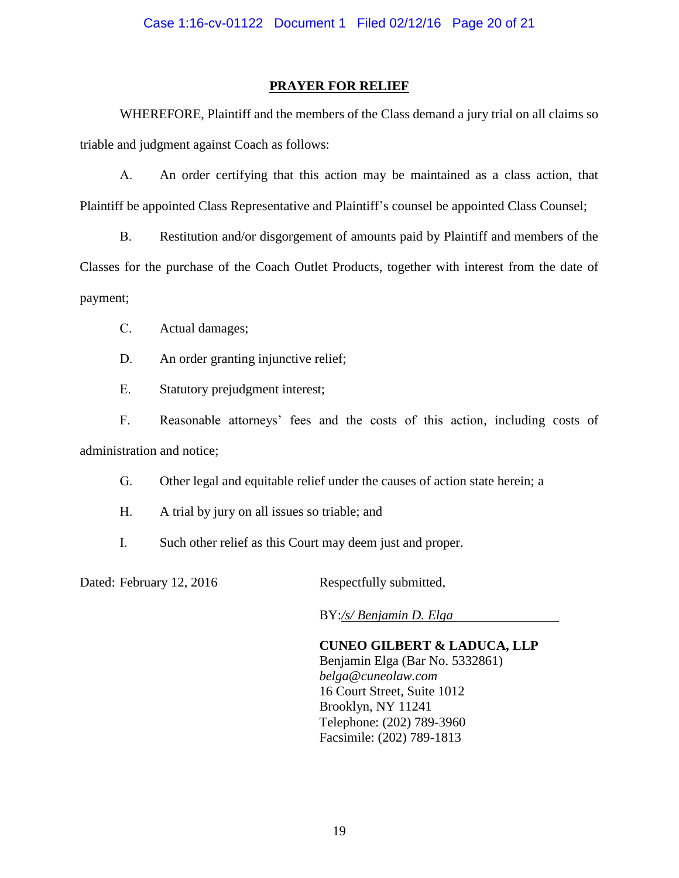## **PRAYER FOR RELIEF**

WHEREFORE, Plaintiff and the members of the Class demand a jury trial on all claims so triable and judgment against Coach as follows:

A. An order certifying that this action may be maintained as a class action, that Plaintiff be appointed Class Representative and Plaintiff's counsel be appointed Class Counsel;

B. Restitution and/or disgorgement of amounts paid by Plaintiff and members of the Classes for the purchase of the Coach Outlet Products, together with interest from the date of payment;

C. Actual damages;

D. An order granting injunctive relief;

E. Statutory prejudgment interest;

F. Reasonable attorneys' fees and the costs of this action, including costs of administration and notice;

G. Other legal and equitable relief under the causes of action state herein; a

- H. A trial by jury on all issues so triable; and
- I. Such other relief as this Court may deem just and proper.

Dated: February 12, 2016 Respectfully submitted,

BY:*/s/ Benjamin D. Elga*

**CUNEO GILBERT & LADUCA, LLP** Benjamin Elga (Bar No. 5332861) *belga@cuneolaw.com* 16 Court Street, Suite 1012 Brooklyn, NY 11241 Telephone: (202) 789-3960 Facsimile: (202) 789-1813